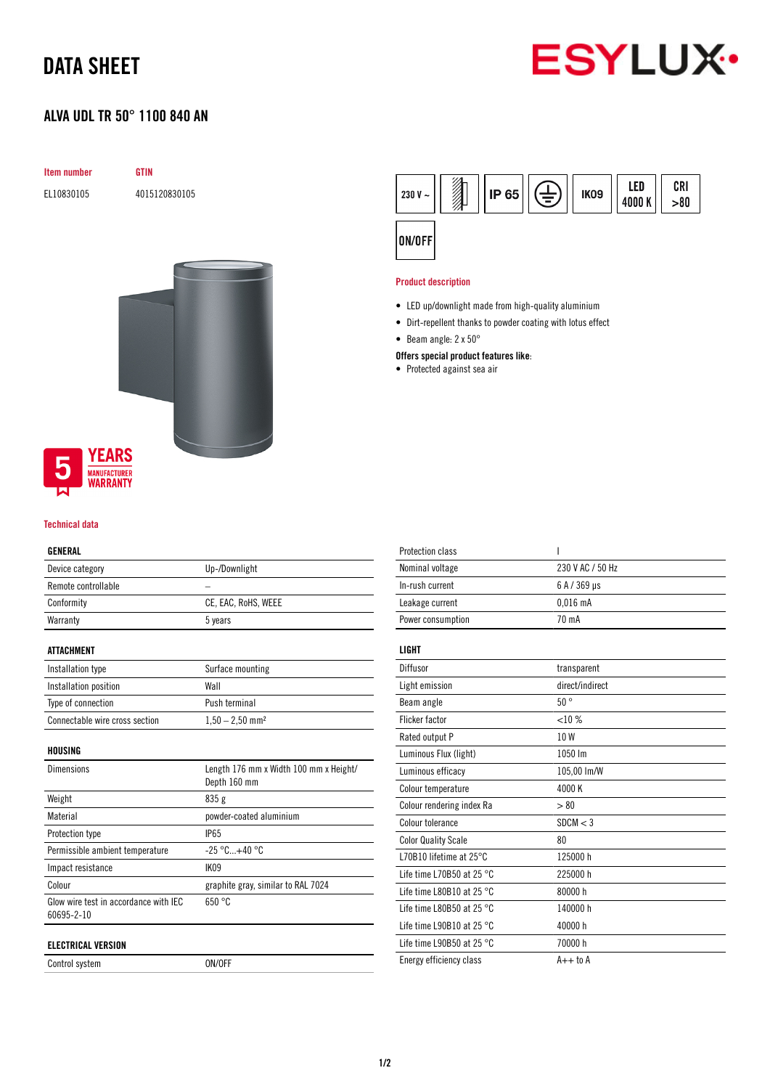## DATA SHEET

# **ESYLUX**

### ALVA UDL TR 50° 1100 840 AN

| <b>GTIN</b>                            |
|----------------------------------------|
| 4015120830105                          |
|                                        |
|                                        |
|                                        |
|                                        |
|                                        |
|                                        |
|                                        |
|                                        |
|                                        |
| <b>YEARS</b>                           |
| <b>MANUFACTURER</b><br><b>WARRANTY</b> |
|                                        |

#### Technical data

#### GENERAL

| ---------           |                     |
|---------------------|---------------------|
| Device category     | Up-/Downlight       |
| Remote controllable |                     |
| Conformity          | CE, EAC, RoHS, WEEE |
| Warranty            | 5 years             |
|                     |                     |

#### ATTACHMENT

| Installation type              | Surface mounting              |
|--------------------------------|-------------------------------|
| Installation position          | Wall                          |
| Type of connection             | Push terminal                 |
| Connectable wire cross section | $1,50 - 2,50$ mm <sup>2</sup> |

HOUSING

| <b>Dimensions</b>                                   | Length 176 mm x Width 100 mm x Height/<br>Depth 160 mm |
|-----------------------------------------------------|--------------------------------------------------------|
| Weight                                              | 835 g                                                  |
| Material                                            | powder-coated aluminium                                |
| Protection type                                     | <b>IP65</b>                                            |
| Permissible ambient temperature                     | $-25\degree$ C+40 $\degree$ C                          |
| Impact resistance                                   | IK <sub>09</sub>                                       |
| Colour                                              | graphite gray, similar to RAL 7024                     |
| Glow wire test in accordance with IEC<br>60695-2-10 | 650 °C                                                 |
| ELECTRICAL VERSION                                  |                                                        |

Control system ON/OFF



#### Product description

- LED up/downlight made from high-quality aluminium
- Dirt-repellent thanks to powder coating with lotus effect
- Beam angle: 2 x 50°

#### Offers special product features like:

• Protected against sea air

| <b>Protection class</b>             | ı                |
|-------------------------------------|------------------|
| Nominal voltage                     | 230 V AC / 50 Hz |
| In-rush current                     | 6 A / 369 µs     |
| Leakage current                     | $0.016$ mA       |
| Power consumption                   | 70 mA            |
| LIGHT                               |                  |
|                                     |                  |
| Diffusor                            | transparent      |
| Light emission                      | direct/indirect  |
| Beam angle                          | 50°              |
| <b>Flicker factor</b>               | <10%             |
| Rated output P                      | 10W              |
| Luminous Flux (light)               | 1050 lm          |
| Luminous efficacy                   | 105,00 lm/W      |
| Colour temperature                  | 4000K            |
| Colour rendering index Ra           | > 80             |
| Colour tolerance                    | SDCM < 3         |
| <b>Color Quality Scale</b>          | 80               |
| L70B10 lifetime at 25°C             | 125000 h         |
| Life time L70B50 at 25 $^{\circ}$ C | 225000 h         |
| Life time L80B10 at 25 $^{\circ}$ C | 80000 h          |
| Life time L80B50 at 25 $^{\circ}$ C | 140000 h         |
| Life time L90B10 at 25 $^{\circ}$ C | 40000 h          |
| Life time L90B50 at 25 $^{\circ}$ C | 70000 h          |
| Energy efficiency class             | $A++$ to $A$     |
|                                     |                  |